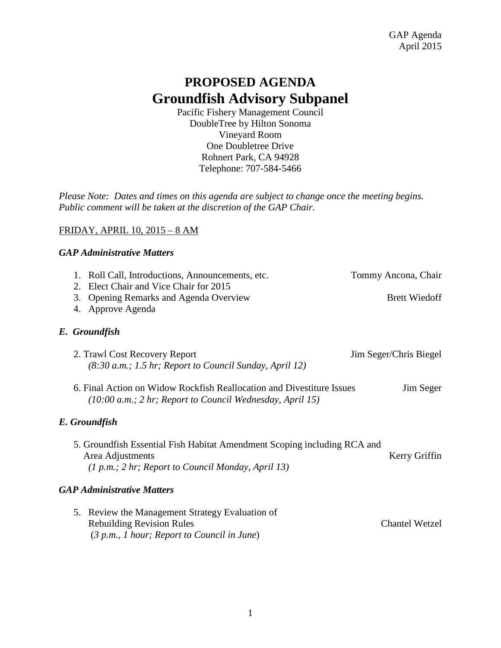# **PROPOSED AGENDA Groundfish Advisory Subpanel**

Pacific Fishery Management Council DoubleTree by Hilton Sonoma Vineyard Room One Doubletree Drive Rohnert Park, CA 94928 Telephone: 707-584-5466

*Please Note: Dates and times on this agenda are subject to change once the meeting begins. Public comment will be taken at the discretion of the GAP Chair.* 

# FRIDAY, APRIL 10, 2015 – 8 AM

## *GAP Administrative Matters*

| 1. Roll Call, Introductions, Announcements, etc.<br>2. Elect Chair and Vice Chair for 2015<br>Opening Remarks and Agenda Overview<br>3.              | Tommy Ancona, Chair<br><b>Brett Wiedoff</b> |
|------------------------------------------------------------------------------------------------------------------------------------------------------|---------------------------------------------|
| 4. Approve Agenda<br>E. Groundfish                                                                                                                   |                                             |
| 2. Trawl Cost Recovery Report<br>$(8:30 a.m.; 1.5 hr; Report to Council Sunday, April 12)$                                                           | Jim Seger/Chris Biegel                      |
| 6. Final Action on Widow Rockfish Reallocation and Divestiture Issues<br>(10:00 a.m.; 2 hr; Report to Council Wednesday, April 15)                   | Jim Seger                                   |
| E. Groundfish                                                                                                                                        |                                             |
| 5. Groundfish Essential Fish Habitat Amendment Scoping including RCA and<br>Area Adjustments<br>$(1 p.m.; 2 hr; Report to Council Monday, April 13)$ | Kerry Griffin                               |
| <b>GAP Administrative Matters</b>                                                                                                                    |                                             |
| Review the Management Strategy Evaluation of<br>5.<br><b>Rebuilding Revision Rules</b><br>$(3 p.m., 1 hour; Report to Council in June)$              | <b>Chantel Wetzel</b>                       |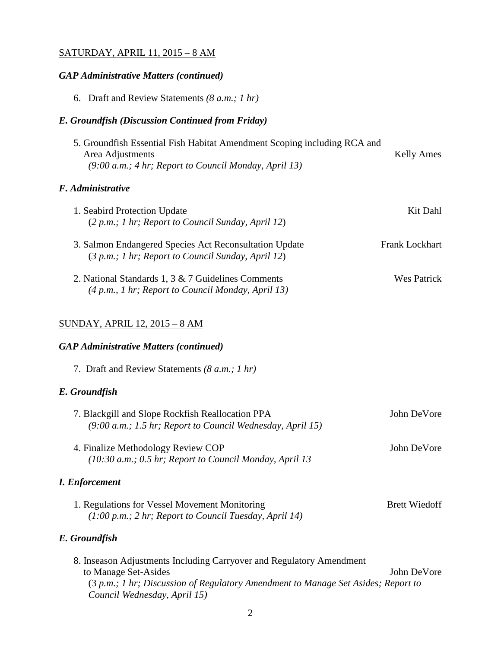#### SATURDAY, APRIL 11, 2015 – 8 AM

## *GAP Administrative Matters (continued)*

6. Draft and Review Statements *(8 a.m.; 1 hr)*

# *E. Groundfish (Discussion Continued from Friday)*

| 5. Groundfish Essential Fish Habitat Amendment Scoping including RCA and |            |
|--------------------------------------------------------------------------|------------|
| Area Adjustments                                                         | Kelly Ames |
| $(9:00 a.m.; 4 hr; Report to Council Monday, April 13)$                  |            |
|                                                                          |            |

# *F. Administrative*

| 1. Seabird Protection Update                                                                                 | Kit Dahl              |
|--------------------------------------------------------------------------------------------------------------|-----------------------|
| $(2 p.m.; 1 hr; Report to Council Sunday, April 12)$                                                         |                       |
| 3. Salmon Endangered Species Act Reconsultation Update<br>(3 p.m.; 1 hr; Report to Council Sunday, April 12) | <b>Frank Lockhart</b> |
| 2. National Standards 1, 3 & 7 Guidelines Comments<br>$(4 p.m., 1 hr; Report to Council Monday, April 13)$   | Wes Patrick           |

# SUNDAY, APRIL 12, 2015 – 8 AM

## *GAP Administrative Matters (continued)*

7. Draft and Review Statements *(8 a.m.; 1 hr)*

# *E. Groundfish*

| 7. Blackgill and Slope Rockfish Reallocation PPA<br>(9:00 a.m.; 1.5 hr; Report to Council Wednesday, April 15) | John DeVore          |
|----------------------------------------------------------------------------------------------------------------|----------------------|
| 4. Finalize Methodology Review COP<br>$(10:30 a.m.; 0.5 hr; Report to Council Monday, April 13$                | John DeVore          |
| <i>I. Enforcement</i>                                                                                          |                      |
| 1. Regulations for Vessel Movement Monitoring<br>$(1:00 p.m.; 2 hr; Report to Council Tuesday, April 14)$      | <b>Brett Wiedoff</b> |
| E. Groundfish                                                                                                  |                      |

| 8. Inseason Adjustments Including Carryover and Regulatory Amendment              |             |
|-----------------------------------------------------------------------------------|-------------|
| to Manage Set-Asides                                                              | John DeVore |
| (3 p.m.; 1 hr; Discussion of Regulatory Amendment to Manage Set Asides; Report to |             |
| Council Wednesday, April 15)                                                      |             |